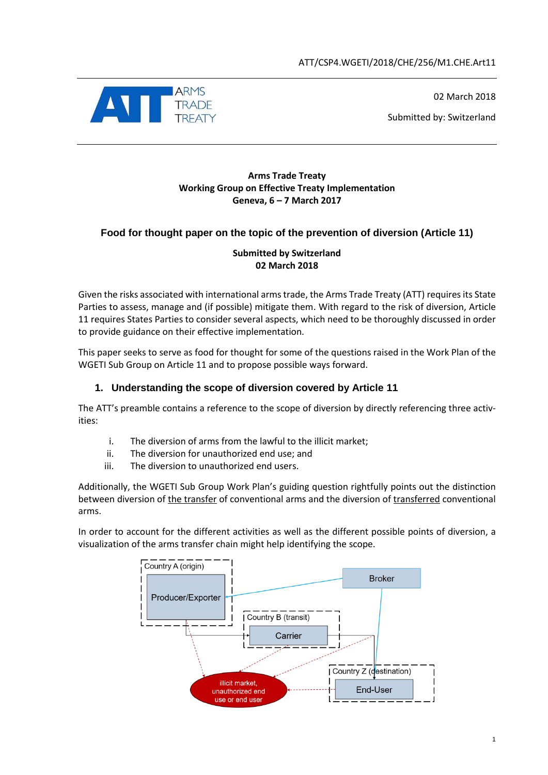

02 March 2018

Submitted by: Switzerland

#### **Arms Trade Treaty Working Group on Effective Treaty Implementation Geneva, 6 – 7 March 2017**

# **Food for thought paper on the topic of the prevention of diversion (Article 11)**

#### **Submitted by Switzerland 02 March 2018**

Given the risks associated with international arms trade, the Arms Trade Treaty (ATT) requires its State Parties to assess, manage and (if possible) mitigate them. With regard to the risk of diversion, Article 11 requires States Parties to consider several aspects, which need to be thoroughly discussed in order to provide guidance on their effective implementation.

This paper seeks to serve as food for thought for some of the questions raised in the Work Plan of the WGETI Sub Group on Article 11 and to propose possible ways forward.

### **1. Understanding the scope of diversion covered by Article 11**

The ATT's preamble contains a reference to the scope of diversion by directly referencing three activities:

- i. The diversion of arms from the lawful to the illicit market;
- ii. The diversion for unauthorized end use; and
- iii. The diversion to unauthorized end users.

Additionally, the WGETI Sub Group Work Plan's guiding question rightfully points out the distinction between diversion of the transfer of conventional arms and the diversion of transferred conventional arms.

In order to account for the different activities as well as the different possible points of diversion, a visualization of the arms transfer chain might help identifying the scope.

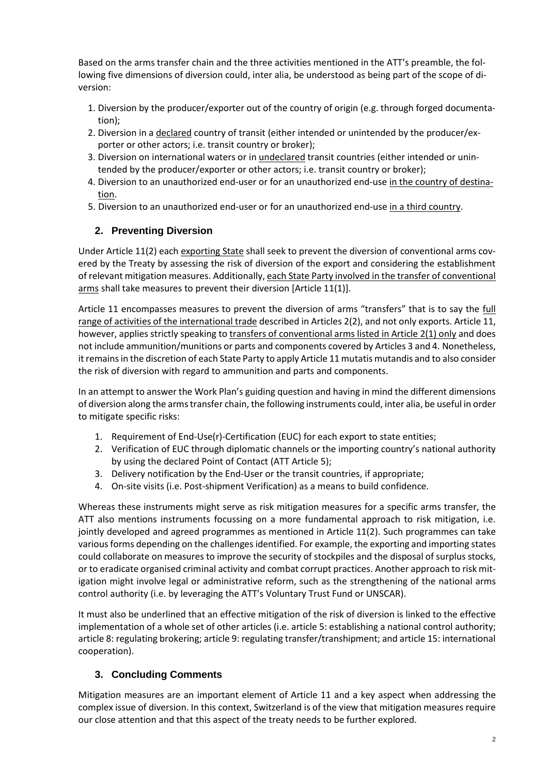Based on the arms transfer chain and the three activities mentioned in the ATT's preamble, the following five dimensions of diversion could, inter alia, be understood as being part of the scope of diversion:

- 1. Diversion by the producer/exporter out of the country of origin (e.g. through forged documentation);
- 2. Diversion in a declared country of transit (either intended or unintended by the producer/exporter or other actors; i.e. transit country or broker);
- 3. Diversion on international waters or in undeclared transit countries (either intended or unintended by the producer/exporter or other actors; i.e. transit country or broker);
- 4. Diversion to an unauthorized end-user or for an unauthorized end-use in the country of destination.
- 5. Diversion to an unauthorized end-user or for an unauthorized end-use in a third country.

# **2. Preventing Diversion**

Under Article 11(2) each exporting State shall seek to prevent the diversion of conventional arms covered by the Treaty by assessing the risk of diversion of the export and considering the establishment of relevant mitigation measures. Additionally, each State Party involved in the transfer of conventional arms shall take measures to prevent their diversion [Article 11(1)].

Article 11 encompasses measures to prevent the diversion of arms "transfers" that is to say the full range of activities of the international trade described in Articles 2(2), and not only exports. Article 11, however, applies strictly speaking to transfers of conventional arms listed in Article 2(1) only and does not include ammunition/munitions or parts and components covered by Articles 3 and 4. Nonetheless, it remains in the discretion of each State Party to apply Article 11 mutatis mutandis and to also consider the risk of diversion with regard to ammunition and parts and components.

In an attempt to answer the Work Plan's guiding question and having in mind the different dimensions of diversion along the arms transfer chain, the following instruments could, inter alia, be useful in order to mitigate specific risks:

- 1. Requirement of End-Use(r)-Certification (EUC) for each export to state entities;
- 2. Verification of EUC through diplomatic channels or the importing country's national authority by using the declared Point of Contact (ATT Article 5);
- 3. Delivery notification by the End-User or the transit countries, if appropriate;
- 4. On-site visits (i.e. Post-shipment Verification) as a means to build confidence.

Whereas these instruments might serve as risk mitigation measures for a specific arms transfer, the ATT also mentions instruments focussing on a more fundamental approach to risk mitigation, i.e. jointly developed and agreed programmes as mentioned in Article 11(2). Such programmes can take various forms depending on the challenges identified. For example, the exporting and importing states could collaborate on measures to improve the security of stockpiles and the disposal of surplus stocks, or to eradicate organised criminal activity and combat corrupt practices. Another approach to risk mitigation might involve legal or administrative reform, such as the strengthening of the national arms control authority (i.e. by leveraging the ATT's Voluntary Trust Fund or UNSCAR).

It must also be underlined that an effective mitigation of the risk of diversion is linked to the effective implementation of a whole set of other articles (i.e. article 5: establishing a national control authority; article 8: regulating brokering; article 9: regulating transfer/transhipment; and article 15: international cooperation).

# **3. Concluding Comments**

Mitigation measures are an important element of Article 11 and a key aspect when addressing the complex issue of diversion. In this context, Switzerland is of the view that mitigation measures require our close attention and that this aspect of the treaty needs to be further explored.